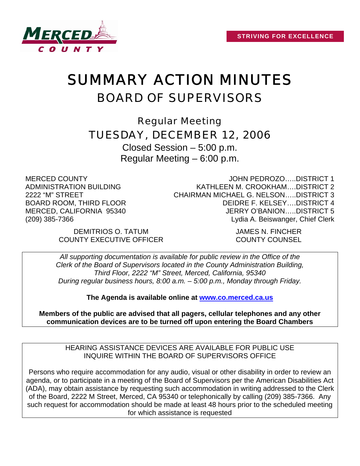

# SUMMARY ACTION MINUTES BOARD OF SUPERVISORS

Regular Meeting TUESDAY, DECEMBER 12, 2006

Closed Session – 5:00 p.m. Regular Meeting – 6:00 p.m.

MERCED COUNTY ADMINISTRATION BUILDING 2222 "M" STREET BOARD ROOM, THIRD FLOOR MERCED, CALIFORNIA 95340 (209) 385-7366

JOHN PEDROZO…..DISTRICT 1 KATHLEEN M. CROOKHAM….DISTRICT 2 CHAIRMAN MICHAEL G. NELSON…..DISTRICT 3 DEIDRE F. KELSEY….DISTRICT 4 JERRY O'BANION…..DISTRICT 5 Lydia A. Beiswanger, Chief Clerk

DEMITRIOS O. TATUM JAMES N. FINCHER COUNTY EXECUTIVE OFFICER COUNTY COUNSEL

*All supporting documentation is available for public review in the Office of the Clerk of the Board of Supervisors located in the County Administration Building, Third Floor, 2222 "M" Street, Merced, California, 95340 During regular business hours, 8:00 a.m. – 5:00 p.m., Monday through Friday.* 

**The Agenda is available online at [www.co.merced.ca.us](http://www.co.merced.ca.us/)**

**Members of the public are advised that all pagers, cellular telephones and any other communication devices are to be turned off upon entering the Board Chambers**

HEARING ASSISTANCE DEVICES ARE AVAILABLE FOR PUBLIC USE INQUIRE WITHIN THE BOARD OF SUPERVISORS OFFICE

Persons who require accommodation for any audio, visual or other disability in order to review an agenda, or to participate in a meeting of the Board of Supervisors per the American Disabilities Act (ADA), may obtain assistance by requesting such accommodation in writing addressed to the Clerk of the Board, 2222 M Street, Merced, CA 95340 or telephonically by calling (209) 385-7366. Any such request for accommodation should be made at least 48 hours prior to the scheduled meeting for which assistance is requested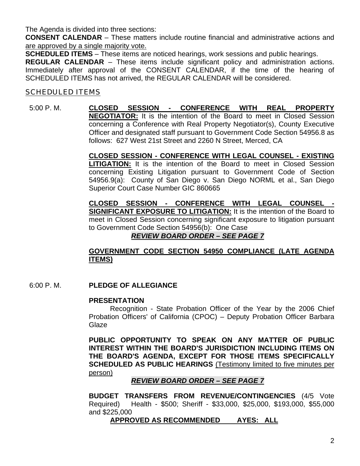The Agenda is divided into three sections:

**CONSENT CALENDAR** – These matters include routine financial and administrative actions and are approved by a single majority vote.

**SCHEDULED ITEMS** – These items are noticed hearings, work sessions and public hearings.

**REGULAR CALENDAR** – These items include significant policy and administration actions. Immediately after approval of the CONSENT CALENDAR, if the time of the hearing of SCHEDULED ITEMS has not arrived, the REGULAR CALENDAR will be considered.

## **SCHEDULED ITEMS**

#### 5:00 P. M. **CLOSED SESSION - CONFERENCE WITH REAL PROPERTY NEGOTIATOR:** It is the intention of the Board to meet in Closed Session concerning a Conference with Real Property Negotiator(s), County Executive Officer and designated staff pursuant to Government Code Section 54956.8 as follows: 627 West 21st Street and 2260 N Street, Merced, CA

**CLOSED SESSION - CONFERENCE WITH LEGAL COUNSEL - EXISTING LITIGATION:** It is the intention of the Board to meet in Closed Session concerning Existing Litigation pursuant to Government Code of Section 54956.9(a): County of San Diego v. San Diego NORML et al., San Diego Superior Court Case Number GIC 860665

**CLOSED SESSION - CONFERENCE WITH LEGAL COUNSEL - SIGNIFICANT EXPOSURE TO LITIGATION:** It is the intention of the Board to meet in Closed Session concerning significant exposure to litigation pursuant to Government Code Section 54956(b): One Case

## *REVIEW BOARD ORDER – SEE PAGE 7*

## **GOVERNMENT CODE SECTION 54950 COMPLIANCE (LATE AGENDA ITEMS)**

6:00 P. M. **PLEDGE OF ALLEGIANCE** 

#### **PRESENTATION**

Recognition - State Probation Officer of the Year by the 2006 Chief Probation Officers' of California (CPOC) – Deputy Probation Officer Barbara **Glaze** 

**PUBLIC OPPORTUNITY TO SPEAK ON ANY MATTER OF PUBLIC INTEREST WITHIN THE BOARD'S JURISDICTION INCLUDING ITEMS ON THE BOARD'S AGENDA, EXCEPT FOR THOSE ITEMS SPECIFICALLY SCHEDULED AS PUBLIC HEARINGS** (Testimony limited to five minutes per person)

#### *REVIEW BOARD ORDER – SEE PAGE 7*

 **BUDGET TRANSFERS FROM REVENUE/CONTINGENCIES** (4/5 Vote Required) Health - \$500; Sheriff - \$33,000, \$25,000, \$193,000, \$55,000 and \$225,000

#### **APPROVED AS RECOMMENDED AYES: ALL**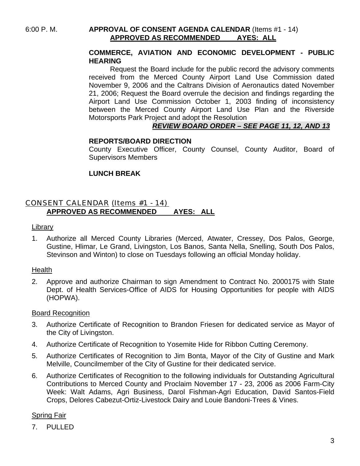## **COMMERCE, AVIATION AND ECONOMIC DEVELOPMENT - PUBLIC HEARING**

 Request the Board include for the public record the advisory comments received from the Merced County Airport Land Use Commission dated November 9, 2006 and the Caltrans Division of Aeronautics dated November 21, 2006; Request the Board overrule the decision and findings regarding the Airport Land Use Commission October 1, 2003 finding of inconsistency between the Merced County Airport Land Use Plan and the Riverside Motorsports Park Project and adopt the Resolution

## *REVIEW BOARD ORDER – SEE PAGE 11, 12, AND 13*

#### **REPORTS/BOARD DIRECTION**

County Executive Officer, County Counsel, County Auditor, Board of Supervisors Members

# **LUNCH BREAK**

## CONSENT CALENDAR (Items #1 - 14) **APPROVED AS RECOMMENDED AYES: ALL**

#### Library

1. Authorize all Merced County Libraries (Merced, Atwater, Cressey, Dos Palos, George, Gustine, Hlimar, Le Grand, Livingston, Los Banos, Santa Nella, Snelling, South Dos Palos, Stevinson and Winton) to close on Tuesdays following an official Monday holiday.

#### Health

2. Approve and authorize Chairman to sign Amendment to Contract No. 2000175 with State Dept. of Health Services-Office of AIDS for Housing Opportunities for people with AIDS (HOPWA).

#### Board Recognition

- 3. Authorize Certificate of Recognition to Brandon Friesen for dedicated service as Mayor of the City of Livingston.
- 4. Authorize Certificate of Recognition to Yosemite Hide for Ribbon Cutting Ceremony.
- 5. Authorize Certificates of Recognition to Jim Bonta, Mayor of the City of Gustine and Mark Melville, Councilmember of the City of Gustine for their dedicated service.
- 6. Authorize Certificates of Recognition to the following individuals for Outstanding Agricultural Contributions to Merced County and Proclaim November 17 - 23, 2006 as 2006 Farm-City Week: Walt Adams, Agri Business, Darol Fishman-Agri Education, David Santos-Field Crops, Delores Cabezut-Ortiz-Livestock Dairy and Louie Bandoni-Trees & Vines.

## Spring Fair

7. PULLED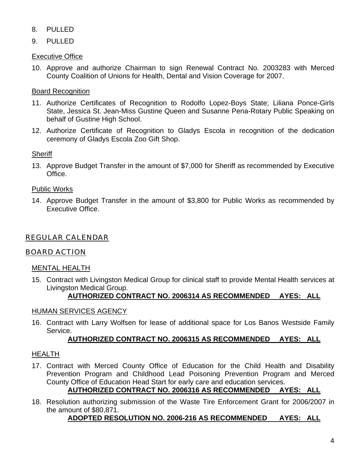- 8. PULLED
- 9. PULLED

# Executive Office

10. Approve and authorize Chairman to sign Renewal Contract No. 2003283 with Merced County Coalition of Unions for Health, Dental and Vision Coverage for 2007.

# Board Recognition

- 11. Authorize Certificates of Recognition to Rodolfo Lopez-Boys State; Liliana Ponce-Girls State, Jessica St. Jean-Miss Gustine Queen and Susanne Pena-Rotary Public Speaking on behalf of Gustine High School.
- 12. Authorize Certificate of Recognition to Gladys Escola in recognition of the dedication ceremony of Gladys Escola Zoo Gift Shop.

**Sheriff** 

13. Approve Budget Transfer in the amount of \$7,000 for Sheriff as recommended by Executive Office.

# Public Works

14. Approve Budget Transfer in the amount of \$3,800 for Public Works as recommended by Executive Office.

# REGULAR CALENDAR

# BOARD ACTION

# MENTAL HEALTH

15. Contract with Livingston Medical Group for clinical staff to provide Mental Health services at Livingston Medical Group.

# **AUTHORIZED CONTRACT NO. 2006314 AS RECOMMENDED AYES: ALL**

# HUMAN SERVICES AGENCY

16. Contract with Larry Wolfsen for lease of additional space for Los Banos Westside Family Service.

# **AUTHORIZED CONTRACT NO. 2006315 AS RECOMMENDED AYES: ALL**

# HEALTH

- 17. Contract with Merced County Office of Education for the Child Health and Disability Prevention Program and Childhood Lead Poisoning Prevention Program and Merced County Office of Education Head Start for early care and education services.
	- **AUTHORIZED CONTRACT NO. 2006316 AS RECOMMENDED AYES: ALL**
- 18. Resolution authorizing submission of the Waste Tire Enforcement Grant for 2006/2007 in the amount of \$80,871.

# **ADOPTED RESOLUTION NO. 2006-216 AS RECOMMENDED AYES: ALL**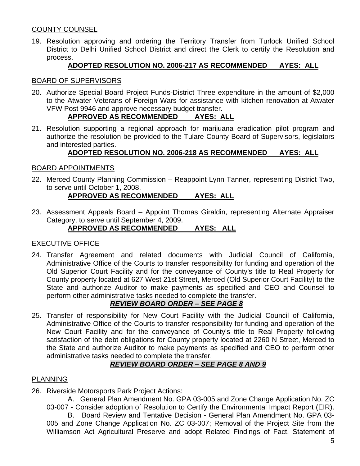## COUNTY COUNSEL

19. Resolution approving and ordering the Territory Transfer from Turlock Unified School District to Delhi Unified School District and direct the Clerk to certify the Resolution and process.

#### **ADOPTED RESOLUTION NO. 2006-217 AS RECOMMENDED AYES: ALL**

#### BOARD OF SUPERVISORS

20. Authorize Special Board Project Funds-District Three expenditure in the amount of \$2,000 to the Atwater Veterans of Foreign Wars for assistance with kitchen renovation at Atwater VFW Post 9946 and approve necessary budget transfer.

## **APPROVED AS RECOMMENDED AYES: ALL**

21. Resolution supporting a regional approach for marijuana eradication pilot program and authorize the resolution be provided to the Tulare County Board of Supervisors, legislators and interested parties.

## **ADOPTED RESOLUTION NO. 2006-218 AS RECOMMENDED AYES: ALL**

#### BOARD APPOINTMENTS

- 22. Merced County Planning Commission Reappoint Lynn Tanner, representing District Two, to serve until October 1, 2008. **APPROVED AS RECOMMENDED AYES: ALL**
- 23. Assessment Appeals Board Appoint Thomas Giraldin, representing Alternate Appraiser Category, to serve until September 4, 2009.

#### **APPROVED AS RECOMMENDED AYES: ALL**

#### EXECUTIVE OFFICE

24. Transfer Agreement and related documents with Judicial Council of California, Administrative Office of the Courts to transfer responsibility for funding and operation of the Old Superior Court Facility and for the conveyance of County's title to Real Property for County property located at 627 West 21st Street, Merced (Old Superior Court Facility) to the State and authorize Auditor to make payments as specified and CEO and Counsel to perform other administrative tasks needed to complete the transfer.

## *REVIEW BOARD ORDER – SEE PAGE 8*

25. Transfer of responsibility for New Court Facility with the Judicial Council of California, Administrative Office of the Courts to transfer responsibility for funding and operation of the New Court Facility and for the conveyance of County's title to Real Property following satisfaction of the debt obligations for County property located at 2260 N Street, Merced to the State and authorize Auditor to make payments as specified and CEO to perform other administrative tasks needed to complete the transfer.

#### *REVIEW BOARD ORDER – SEE PAGE 8 AND 9*

#### PLANNING

26. Riverside Motorsports Park Project Actions:

 A. General Plan Amendment No. GPA 03-005 and Zone Change Application No. ZC 03-007 - Consider adoption of Resolution to Certify the Environmental Impact Report (EIR). B. Board Review and Tentative Decision - General Plan Amendment No. GPA 03-

005 and Zone Change Application No. ZC 03-007; Removal of the Project Site from the Williamson Act Agricultural Preserve and adopt Related Findings of Fact, Statement of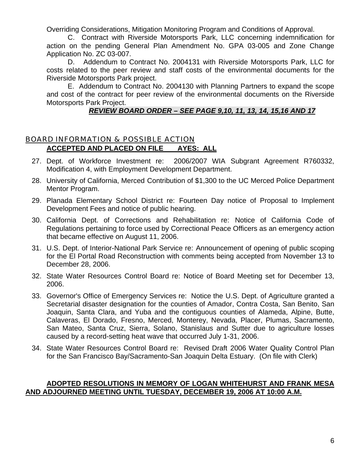Overriding Considerations, Mitigation Monitoring Program and Conditions of Approval.

 C. Contract with Riverside Motorsports Park, LLC concerning indemnification for action on the pending General Plan Amendment No. GPA 03-005 and Zone Change Application No. ZC 03-007.

 D. Addendum to Contract No. 2004131 with Riverside Motorsports Park, LLC for costs related to the peer review and staff costs of the environmental documents for the Riverside Motorsports Park project.

 E. Addendum to Contract No. 2004130 with Planning Partners to expand the scope and cost of the contract for peer review of the environmental documents on the Riverside Motorsports Park Project.

#### *REVIEW BOARD ORDER – SEE PAGE 9,10, 11, 13, 14, 15,16 AND 17*

## BOARD INFORMATION & POSSIBLE ACTION **ACCEPTED AND PLACED ON FILE AYES: ALL**

- 27. Dept. of Workforce Investment re: 2006/2007 WIA Subgrant Agreement R760332, Modification 4, with Employment Development Department.
- 28. University of California, Merced Contribution of \$1,300 to the UC Merced Police Department Mentor Program.
- 29. Planada Elementary School District re: Fourteen Day notice of Proposal to Implement Development Fees and notice of public hearing.
- 30. California Dept. of Corrections and Rehabilitation re: Notice of California Code of Regulations pertaining to force used by Correctional Peace Officers as an emergency action that became effective on August 11, 2006.
- 31. U.S. Dept. of Interior-National Park Service re: Announcement of opening of public scoping for the El Portal Road Reconstruction with comments being accepted from November 13 to December 28, 2006.
- 32. State Water Resources Control Board re: Notice of Board Meeting set for December 13, 2006.
- 33. Governor's Office of Emergency Services re: Notice the U.S. Dept. of Agriculture granted a Secretarial disaster designation for the counties of Amador, Contra Costa, San Benito, San Joaquin, Santa Clara, and Yuba and the contiguous counties of Alameda, Alpine, Butte, Calaveras, El Dorado, Fresno, Merced, Monterey, Nevada, Placer, Plumas, Sacramento, San Mateo, Santa Cruz, Sierra, Solano, Stanislaus and Sutter due to agriculture losses caused by a record-setting heat wave that occurred July 1-31, 2006.
- 34. State Water Resources Control Board re: Revised Draft 2006 Water Quality Control Plan for the San Francisco Bay/Sacramento-San Joaquin Delta Estuary. (On file with Clerk)

## **ADOPTED RESOLUTIONS IN MEMORY OF LOGAN WHITEHURST AND FRANK MESA AND ADJOURNED MEETING UNTIL TUESDAY, DECEMBER 19, 2006 AT 10:00 A.M.**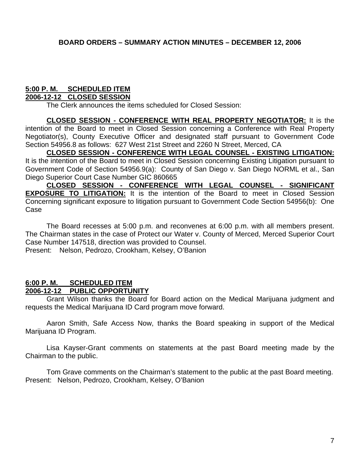# **5:00 P. M. SCHEDULED ITEM**

### **2006-12-12 CLOSED SESSION**

The Clerk announces the items scheduled for Closed Session:

**CLOSED SESSION - CONFERENCE WITH REAL PROPERTY NEGOTIATOR:** It is the intention of the Board to meet in Closed Session concerning a Conference with Real Property Negotiator(s), County Executive Officer and designated staff pursuant to Government Code Section 54956.8 as follows: 627 West 21st Street and 2260 N Street, Merced, CA

**CLOSED SESSION - CONFERENCE WITH LEGAL COUNSEL - EXISTING LITIGATION:** It is the intention of the Board to meet in Closed Session concerning Existing Litigation pursuant to Government Code of Section 54956.9(a): County of San Diego v. San Diego NORML et al., San Diego Superior Court Case Number GIC 860665

**CLOSED SESSION - CONFERENCE WITH LEGAL COUNSEL - SIGNIFICANT EXPOSURE TO LITIGATION:** It is the intention of the Board to meet in Closed Session Concerning significant exposure to litigation pursuant to Government Code Section 54956(b): One Case

 The Board recesses at 5:00 p.m. and reconvenes at 6:00 p.m. with all members present. The Chairman states in the case of Protect our Water v. County of Merced, Merced Superior Court Case Number 147518, direction was provided to Counsel.

Present: Nelson, Pedrozo, Crookham, Kelsey, O'Banion

#### **6:00 P. M. SCHEDULED ITEM 2006-12-12 PUBLIC OPPORTUNITY**

 Grant Wilson thanks the Board for Board action on the Medical Marijuana judgment and requests the Medical Marijuana ID Card program move forward.

 Aaron Smith, Safe Access Now, thanks the Board speaking in support of the Medical Marijuana ID Program.

 Lisa Kayser-Grant comments on statements at the past Board meeting made by the Chairman to the public.

 Tom Grave comments on the Chairman's statement to the public at the past Board meeting. Present: Nelson, Pedrozo, Crookham, Kelsey, O'Banion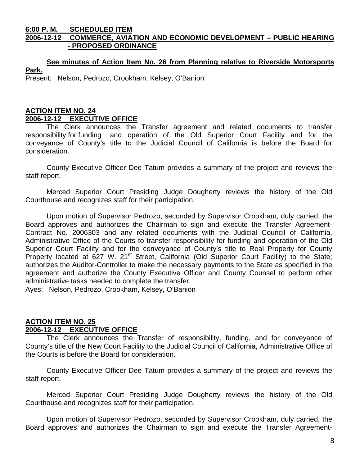#### **6:00 P. M. SCHEDULED ITEM 2006-12-12 COMMERCE, AVIATION AND ECONOMIC DEVELOPMENT – PUBLIC HEARING - PROPOSED ORDINANCE**

# **See minutes of Action Item No. 26 from Planning relative to Riverside Motorsports Park.**

Present: Nelson, Pedrozo, Crookham, Kelsey, O'Banion

## **ACTION ITEM NO. 24 2006-12-12 EXECUTIVE OFFICE**

 The Clerk announces the Transfer agreement and related documents to transfer responsibility for funding and operation of the Old Superior Court Facility and for the conveyance of County's title to the Judicial Council of California is before the Board for consideration.

 County Executive Officer Dee Tatum provides a summary of the project and reviews the staff report.

 Merced Superior Court Presiding Judge Dougherty reviews the history of the Old Courthouse and recognizes staff for their participation.

 Upon motion of Supervisor Pedrozo, seconded by Supervisor Crookham, duly carried, the Board approves and authorizes the Chairman to sign and execute the Transfer Agreement-Contract No. 2006303 and any related documents with the Judicial Council of California, Administrative Office of the Courts to transfer responsibility for funding and operation of the Old Superior Court Facility and for the conveyance of County's title to Real Property for County Property located at 627 W. 21<sup>st</sup> Street, California (Old Superior Court Facility) to the State; authorizes the Auditor-Controller to make the necessary payments to the State as specified in the agreement and authorize the County Executive Officer and County Counsel to perform other administrative tasks needed to complete the transfer.

Ayes: Nelson, Pedrozo, Crookham, Kelsey, O'Banion

#### **ACTION ITEM NO. 25 2006-12-12 EXECUTIVE OFFICE**

 The Clerk announces the Transfer of responsibility, funding, and for conveyance of County's title of the New Court Facility to the Judicial Council of California, Administrative Office of the Courts is before the Board for consideration.

 County Executive Officer Dee Tatum provides a summary of the project and reviews the staff report.

 Merced Superior Court Presiding Judge Dougherty reviews the history of the Old Courthouse and recognizes staff for their participation.

 Upon motion of Supervisor Pedrozo, seconded by Supervisor Crookham, duly carried, the Board approves and authorizes the Chairman to sign and execute the Transfer Agreement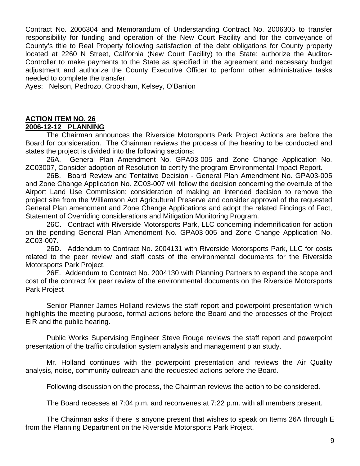Contract No. 2006304 and Memorandum of Understanding Contract No. 2006305 to transfer responsibility for funding and operation of the New Court Facility and for the conveyance of County's title to Real Property following satisfaction of the debt obligations for County property located at 2260 N Street, California (New Court Facility) to the State; authorize the Auditor-Controller to make payments to the State as specified in the agreement and necessary budget adjustment and authorize the County Executive Officer to perform other administrative tasks needed to complete the transfer.

Ayes: Nelson, Pedrozo, Crookham, Kelsey, O'Banion

#### **ACTION ITEM NO. 26 2006-12-12 PLANNING**

 The Chairman announces the Riverside Motorsports Park Project Actions are before the Board for consideration. The Chairman reviews the process of the hearing to be conducted and states the project is divided into the following sections:

 26A. General Plan Amendment No. GPA03-005 and Zone Change Application No. ZC03007, Consider adoption of Resolution to certify the program Environmental Impact Report.

 26B. Board Review and Tentative Decision - General Plan Amendment No. GPA03-005 and Zone Change Application No. ZC03-007 will follow the decision concerning the overrule of the Airport Land Use Commission; consideration of making an intended decision to remove the project site from the Williamson Act Agricultural Preserve and consider approval of the requested General Plan amendment and Zone Change Applications and adopt the related Findings of Fact, Statement of Overriding considerations and Mitigation Monitoring Program.

 26C. Contract with Riverside Motorsports Park, LLC concerning indemnification for action on the pending General Plan Amendment No. GPA03-005 and Zone Change Application No. ZC03-007.

 26D. Addendum to Contract No. 2004131 with Riverside Motorsports Park, LLC for costs related to the peer review and staff costs of the environmental documents for the Riverside Motorsports Park Project.

 26E. Addendum to Contract No. 2004130 with Planning Partners to expand the scope and cost of the contract for peer review of the environmental documents on the Riverside Motorsports Park Project

 Senior Planner James Holland reviews the staff report and powerpoint presentation which highlights the meeting purpose, formal actions before the Board and the processes of the Project EIR and the public hearing.

 Public Works Supervising Engineer Steve Rouge reviews the staff report and powerpoint presentation of the traffic circulation system analysis and management plan study.

 Mr. Holland continues with the powerpoint presentation and reviews the Air Quality analysis, noise, community outreach and the requested actions before the Board.

Following discussion on the process, the Chairman reviews the action to be considered.

The Board recesses at 7:04 p.m. and reconvenes at 7:22 p.m. with all members present.

 The Chairman asks if there is anyone present that wishes to speak on Items 26A through E from the Planning Department on the Riverside Motorsports Park Project.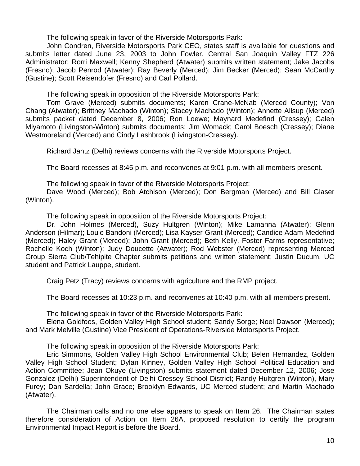The following speak in favor of the Riverside Motorsports Park:

 John Condren, Riverside Motorsports Park CEO, states staff is available for questions and submits letter dated June 23, 2003 to John Fowler, Central San Joaquin Valley FTZ 226 Administrator; Rorri Maxwell; Kenny Shepherd (Atwater) submits written statement; Jake Jacobs (Fresno); Jacob Penrod (Atwater); Ray Beverly (Merced): Jim Becker (Merced); Sean McCarthy (Gustine); Scott Reisendofer (Fresno) and Carl Pollard.

The following speak in opposition of the Riverside Motorsports Park:

 Tom Grave (Merced) submits documents; Karen Crane-McNab (Merced County); Von Chang (Atwater); Brittney Machado (Winton); Stacey Machado (Winton); Annette Allsup (Merced) submits packet dated December 8, 2006; Ron Loewe; Maynard Medefind (Cressey); Galen Miyamoto (Livingston-Winton) submits documents; Jim Womack; Carol Boesch (Cressey); Diane Westmoreland (Merced) and Cindy Lashbrook (Livingston-Cressey).

Richard Jantz (Delhi) reviews concerns with the Riverside Motorsports Project.

The Board recesses at 8:45 p.m. and reconvenes at 9:01 p.m. with all members present.

The following speak in favor of the Riverside Motorsports Project:

 Dave Wood (Merced); Bob Atchison (Merced); Don Bergman (Merced) and Bill Glaser (Winton).

The following speak in opposition of the Riverside Motorsports Project:

 Dr. John Holmes (Merced), Suzy Hultgren (Winton); Mike Lamanna (Atwater); Glenn Anderson (Hilmar); Louie Bandoni (Merced); Lisa Kayser-Grant (Merced); Candice Adam-Medefind (Merced); Haley Grant (Merced); John Grant (Merced); Beth Kelly, Foster Farms representative; Rochelle Koch (Winton); Judy Doucette (Atwater); Rod Webster (Merced) representing Merced Group Sierra Club/Tehipite Chapter submits petitions and written statement; Justin Ducum, UC student and Patrick Lauppe, student.

Craig Petz (Tracy) reviews concerns with agriculture and the RMP project.

The Board recesses at 10:23 p.m. and reconvenes at 10:40 p.m. with all members present.

The following speak in favor of the Riverside Motorsports Park:

 Elena Goldfoos, Golden Valley High School student; Sandy Sorge; Noel Dawson (Merced); and Mark Melville (Gustine) Vice President of Operations-Riverside Motorsports Project.

The following speak in opposition of the Riverside Motorsports Park:

 Eric Simmons, Golden Valley High School Environmental Club; Belen Hernandez, Golden Valley High School Student; Dylan Kinney, Golden Valley High School Political Education and Action Committee; Jean Okuye (Livingston) submits statement dated December 12, 2006; Jose Gonzalez (Delhi) Superintendent of Delhi-Cressey School District; Randy Hultgren (Winton), Mary Furey; Dan Sardella; John Grace; Brooklyn Edwards, UC Merced student; and Martin Machado (Atwater).

 The Chairman calls and no one else appears to speak on Item 26. The Chairman states therefore consideration of Action on Item 26A, proposed resolution to certify the program Environmental Impact Report is before the Board.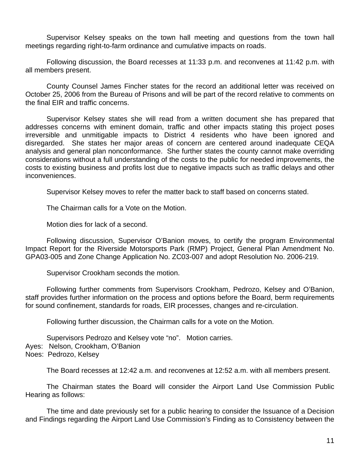Supervisor Kelsey speaks on the town hall meeting and questions from the town hall meetings regarding right-to-farm ordinance and cumulative impacts on roads.

 Following discussion, the Board recesses at 11:33 p.m. and reconvenes at 11:42 p.m. with all members present.

 County Counsel James Fincher states for the record an additional letter was received on October 25, 2006 from the Bureau of Prisons and will be part of the record relative to comments on the final EIR and traffic concerns.

 Supervisor Kelsey states she will read from a written document she has prepared that addresses concerns with eminent domain, traffic and other impacts stating this project poses irreversible and unmitigable impacts to District 4 residents who have been ignored and disregarded. She states her major areas of concern are centered around inadequate CEQA analysis and general plan nonconformance. She further states the county cannot make overriding considerations without a full understanding of the costs to the public for needed improvements, the costs to existing business and profits lost due to negative impacts such as traffic delays and other inconveniences.

Supervisor Kelsey moves to refer the matter back to staff based on concerns stated.

The Chairman calls for a Vote on the Motion.

Motion dies for lack of a second.

 Following discussion, Supervisor O'Banion moves, to certify the program Environmental Impact Report for the Riverside Motorsports Park (RMP) Project, General Plan Amendment No. GPA03-005 and Zone Change Application No. ZC03-007 and adopt Resolution No. 2006-219.

Supervisor Crookham seconds the motion.

 Following further comments from Supervisors Crookham, Pedrozo, Kelsey and O'Banion, staff provides further information on the process and options before the Board, berm requirements for sound confinement, standards for roads, EIR processes, changes and re-circulation.

Following further discussion, the Chairman calls for a vote on the Motion.

 Supervisors Pedrozo and Kelsey vote "no". Motion carries. Ayes: Nelson, Crookham, O'Banion Noes: Pedrozo, Kelsey

The Board recesses at 12:42 a.m. and reconvenes at 12:52 a.m. with all members present.

The Chairman states the Board will consider the Airport Land Use Commission Public Hearing as follows:

The time and date previously set for a public hearing to consider the Issuance of a Decision and Findings regarding the Airport Land Use Commission's Finding as to Consistency between the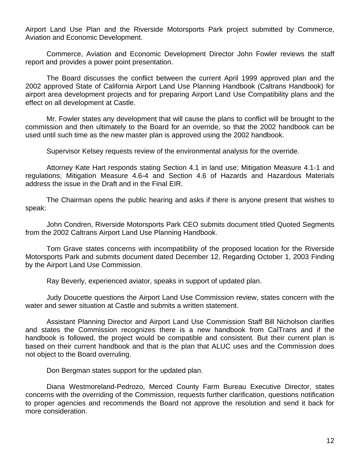Airport Land Use Plan and the Riverside Motorsports Park project submitted by Commerce, Aviation and Economic Development.

 Commerce, Aviation and Economic Development Director John Fowler reviews the staff report and provides a power point presentation.

 The Board discusses the conflict between the current April 1999 approved plan and the 2002 approved State of California Airport Land Use Planning Handbook (Caltrans Handbook) for airport area development projects and for preparing Airport Land Use Compatibility plans and the effect on all development at Castle.

 Mr. Fowler states any development that will cause the plans to conflict will be brought to the commission and then ultimately to the Board for an override, so that the 2002 handbook can be used until such time as the new master plan is approved using the 2002 handbook.

Supervisor Kelsey requests review of the environmental analysis for the override.

 Attorney Kate Hart responds stating Section 4.1 in land use; Mitigation Measure 4.1-1 and regulations; Mitigation Measure 4.6-4 and Section 4.6 of Hazards and Hazardous Materials address the issue in the Draft and in the Final EIR.

 The Chairman opens the public hearing and asks if there is anyone present that wishes to speak:

 John Condren, Riverside Motorsports Park CEO submits document titled Quoted Segments from the 2002 Caltrans Airport Land Use Planning Handbook.

 Tom Grave states concerns with incompatibility of the proposed location for the Riverside Motorsports Park and submits document dated December 12, Regarding October 1, 2003 Finding by the Airport Land Use Commission.

Ray Beverly, experienced aviator, speaks in support of updated plan.

 Judy Doucette questions the Airport Land Use Commission review, states concern with the water and sewer situation at Castle and submits a written statement.

 Assistant Planning Director and Airport Land Use Commission Staff Bill Nicholson clarifies and states the Commission recognizes there is a new handbook from CalTrans and if the handbook is followed, the project would be compatible and consistent. But their current plan is based on their current handbook and that is the plan that ALUC uses and the Commission does not object to the Board overruling.

Don Bergman states support for the updated plan.

 Diana Westmoreland-Pedrozo, Merced County Farm Bureau Executive Director, states concerns with the overriding of the Commission, requests further clarification, questions notification to proper agencies and recommends the Board not approve the resolution and send it back for more consideration.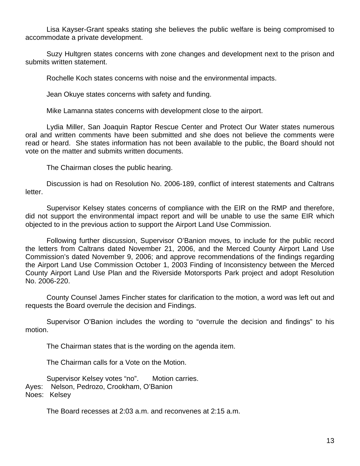Lisa Kayser-Grant speaks stating she believes the public welfare is being compromised to accommodate a private development.

 Suzy Hultgren states concerns with zone changes and development next to the prison and submits written statement.

Rochelle Koch states concerns with noise and the environmental impacts.

Jean Okuye states concerns with safety and funding.

Mike Lamanna states concerns with development close to the airport.

 Lydia Miller, San Joaquin Raptor Rescue Center and Protect Our Water states numerous oral and written comments have been submitted and she does not believe the comments were read or heard. She states information has not been available to the public, the Board should not vote on the matter and submits written documents.

The Chairman closes the public hearing.

 Discussion is had on Resolution No. 2006-189, conflict of interest statements and Caltrans letter.

 Supervisor Kelsey states concerns of compliance with the EIR on the RMP and therefore, did not support the environmental impact report and will be unable to use the same EIR which objected to in the previous action to support the Airport Land Use Commission.

 Following further discussion, Supervisor O'Banion moves, to include for the public record the letters from Caltrans dated November 21, 2006, and the Merced County Airport Land Use Commission's dated November 9, 2006; and approve recommendations of the findings regarding the Airport Land Use Commission October 1, 2003 Finding of Inconsistency between the Merced County Airport Land Use Plan and the Riverside Motorsports Park project and adopt Resolution No. 2006-220.

 County Counsel James Fincher states for clarification to the motion, a word was left out and requests the Board overrule the decision and Findings.

 Supervisor O'Banion includes the wording to "overrule the decision and findings" to his motion.

The Chairman states that is the wording on the agenda item.

The Chairman calls for a Vote on the Motion.

 Supervisor Kelsey votes "no". Motion carries. Ayes: Nelson, Pedrozo, Crookham, O'Banion Noes: Kelsey

The Board recesses at 2:03 a.m. and reconvenes at 2:15 a.m.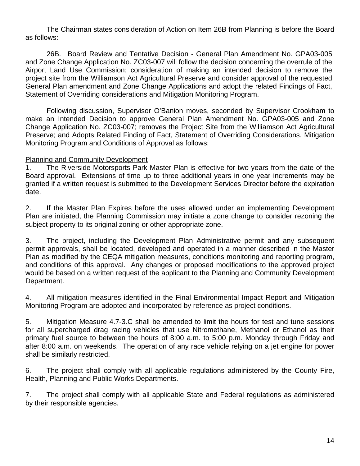The Chairman states consideration of Action on Item 26B from Planning is before the Board as follows:

 26B. Board Review and Tentative Decision - General Plan Amendment No. GPA03-005 and Zone Change Application No. ZC03-007 will follow the decision concerning the overrule of the Airport Land Use Commission; consideration of making an intended decision to remove the project site from the Williamson Act Agricultural Preserve and consider approval of the requested General Plan amendment and Zone Change Applications and adopt the related Findings of Fact, Statement of Overriding considerations and Mitigation Monitoring Program.

 Following discussion, Supervisor O'Banion moves, seconded by Supervisor Crookham to make an Intended Decision to approve General Plan Amendment No. GPA03-005 and Zone Change Application No. ZC03-007; removes the Project Site from the Williamson Act Agricultural Preserve; and Adopts Related Finding of Fact, Statement of Overriding Considerations, Mitigation Monitoring Program and Conditions of Approval as follows:

#### Planning and Community Development

1. The Riverside Motorsports Park Master Plan is effective for two years from the date of the Board approval. Extensions of time up to three additional years in one year increments may be granted if a written request is submitted to the Development Services Director before the expiration date.

2. If the Master Plan Expires before the uses allowed under an implementing Development Plan are initiated, the Planning Commission may initiate a zone change to consider rezoning the subject property to its original zoning or other appropriate zone.

3. The project, including the Development Plan Administrative permit and any subsequent permit approvals, shall be located, developed and operated in a manner described in the Master Plan as modified by the CEQA mitigation measures, conditions monitoring and reporting program, and conditions of this approval. Any changes or proposed modifications to the approved project would be based on a written request of the applicant to the Planning and Community Development Department.

4. All mitigation measures identified in the Final Environmental Impact Report and Mitigation Monitoring Program are adopted and incorporated by reference as project conditions.

5. Mitigation Measure 4.7-3.C shall be amended to limit the hours for test and tune sessions for all supercharged drag racing vehicles that use Nitromethane, Methanol or Ethanol as their primary fuel source to between the hours of 8:00 a.m. to 5:00 p.m. Monday through Friday and after 8:00 a.m. on weekends. The operation of any race vehicle relying on a jet engine for power shall be similarly restricted.

6. The project shall comply with all applicable regulations administered by the County Fire, Health, Planning and Public Works Departments.

7. The project shall comply with all applicable State and Federal regulations as administered by their responsible agencies.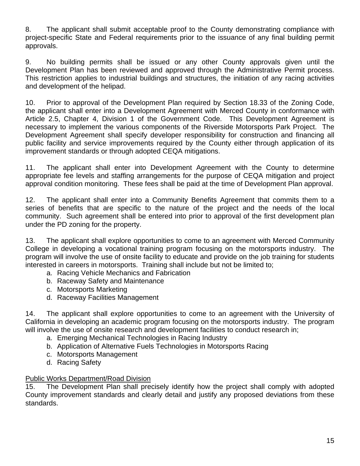8. The applicant shall submit acceptable proof to the County demonstrating compliance with project-specific State and Federal requirements prior to the issuance of any final building permit approvals.

9. No building permits shall be issued or any other County approvals given until the Development Plan has been reviewed and approved through the Administrative Permit process. This restriction applies to industrial buildings and structures, the initiation of any racing activities and development of the helipad.

10. Prior to approval of the Development Plan required by Section 18.33 of the Zoning Code, the applicant shall enter into a Development Agreement with Merced County in conformance with Article 2.5, Chapter 4, Division 1 of the Government Code. This Development Agreement is necessary to implement the various components of the Riverside Motorsports Park Project. The Development Agreement shall specify developer responsibility for construction and financing all public facility and service improvements required by the County either through application of its improvement standards or through adopted CEQA mitigations.

11. The applicant shall enter into Development Agreement with the County to determine appropriate fee levels and staffing arrangements for the purpose of CEQA mitigation and project approval condition monitoring. These fees shall be paid at the time of Development Plan approval.

12. The applicant shall enter into a Community Benefits Agreement that commits them to a series of benefits that are specific to the nature of the project and the needs of the local community. Such agreement shall be entered into prior to approval of the first development plan under the PD zoning for the property.

13. The applicant shall explore opportunities to come to an agreement with Merced Community College in developing a vocational training program focusing on the motorsports industry. The program will involve the use of onsite facility to educate and provide on the job training for students interested in careers in motorsports. Training shall include but not be limited to;

- a. Racing Vehicle Mechanics and Fabrication
- b. Raceway Safety and Maintenance
- c. Motorsports Marketing
- d. Raceway Facilities Management

14. The applicant shall explore opportunities to come to an agreement with the University of California in developing an academic program focusing on the motorsports industry. The program will involve the use of onsite research and development facilities to conduct research in;

- a. Emerging Mechanical Technologies in Racing Industry
- b. Application of Alternative Fuels Technologies in Motorsports Racing
- c. Motorsports Management
- d. Racing Safety

## Public Works Department/Road Division

15. The Development Plan shall precisely identify how the project shall comply with adopted County improvement standards and clearly detail and justify any proposed deviations from these standards.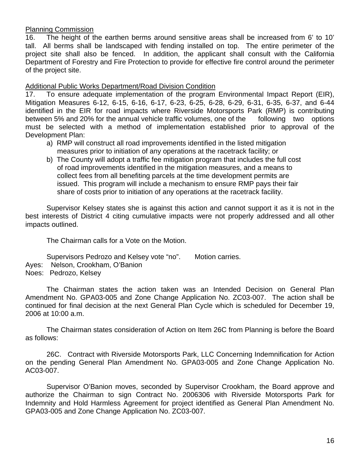### Planning Commission

16. The height of the earthen berms around sensitive areas shall be increased from 6' to 10' tall. All berms shall be landscaped with fending installed on top. The entire perimeter of the project site shall also be fenced. In addition, the applicant shall consult with the California Department of Forestry and Fire Protection to provide for effective fire control around the perimeter of the project site.

Additional Public Works Department/Road Division Condition

17. To ensure adequate implementation of the program Environmental Impact Report (EIR), Mitigation Measures 6-12, 6-15, 6-16, 6-17, 6-23, 6-25, 6-28, 6-29, 6-31, 6-35, 6-37, and 6-44 identified in the EIR for road impacts where Riverside Motorsports Park (RMP) is contributing between 5% and 20% for the annual vehicle traffic volumes, one of the following two options must be selected with a method of implementation established prior to approval of the Development Plan:

- a) RMP will construct all road improvements identified in the listed mitigation measures prior to initiation of any operations at the racetrack facility; or
- b) The County will adopt a traffic fee mitigation program that includes the full cost of road improvements identified in the mitigation measures, and a means to collect fees from all benefiting parcels at the time development permits are issued. This program will include a mechanism to ensure RMP pays their fair share of costs prior to initiation of any operations at the racetrack facility.

 Supervisor Kelsey states she is against this action and cannot support it as it is not in the best interests of District 4 citing cumulative impacts were not properly addressed and all other impacts outlined.

The Chairman calls for a Vote on the Motion.

Supervisors Pedrozo and Kelsey vote "no". Motion carries. Ayes: Nelson, Crookham, O'Banion Noes: Pedrozo, Kelsey

 The Chairman states the action taken was an Intended Decision on General Plan Amendment No. GPA03-005 and Zone Change Application No. ZC03-007. The action shall be continued for final decision at the next General Plan Cycle which is scheduled for December 19, 2006 at 10:00 a.m.

 The Chairman states consideration of Action on Item 26C from Planning is before the Board as follows:

 26C. Contract with Riverside Motorsports Park, LLC Concerning Indemnification for Action on the pending General Plan Amendment No. GPA03-005 and Zone Change Application No. AC03-007.

 Supervisor O'Banion moves, seconded by Supervisor Crookham, the Board approve and authorize the Chairman to sign Contract No. 2006306 with Riverside Motorsports Park for Indemnity and Hold Harmless Agreement for project identified as General Plan Amendment No. GPA03-005 and Zone Change Application No. ZC03-007.